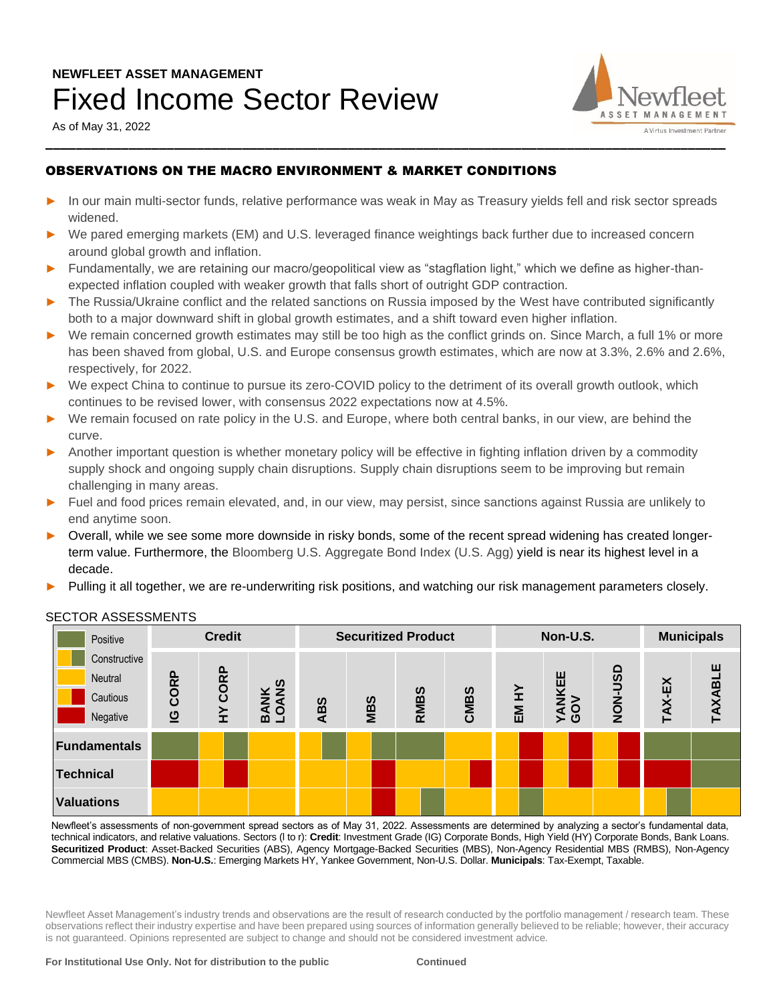# **NEWFLEET ASSET MANAGEMENT**  Fixed Income Sector Review

As of May 31, 2022



## OBSERVATIONS ON THE MACRO ENVIRONMENT & MARKET CONDITIONS

- In our main multi-sector funds, relative performance was weak in May as Treasury yields fell and risk sector spreads widened.
- ► We pared emerging markets (EM) and U.S. leveraged finance weightings back further due to increased concern around global growth and inflation.
- ► Fundamentally, we are retaining our macro/geopolitical view as "stagflation light," which we define as higher-thanexpected inflation coupled with weaker growth that falls short of outright GDP contraction.
- The Russia/Ukraine conflict and the related sanctions on Russia imposed by the West have contributed significantly both to a major downward shift in global growth estimates, and a shift toward even higher inflation.
- ► We remain concerned growth estimates may still be too high as the conflict grinds on. Since March, a full 1% or more has been shaved from global, U.S. and Europe consensus growth estimates, which are now at 3.3%, 2.6% and 2.6%, respectively, for 2022.
- We expect China to continue to pursue its zero-COVID policy to the detriment of its overall growth outlook, which continues to be revised lower, with consensus 2022 expectations now at 4.5%.
- We remain focused on rate policy in the U.S. and Europe, where both central banks, in our view, are behind the curve.
- Another important question is whether monetary policy will be effective in fighting inflation driven by a commodity supply shock and ongoing supply chain disruptions. Supply chain disruptions seem to be improving but remain challenging in many areas.
- ► Fuel and food prices remain elevated, and, in our view, may persist, since sanctions against Russia are unlikely to end anytime soon.
- Overall, while we see some more downside in risky bonds, some of the recent spread widening has created longerterm value. Furthermore, the Bloomberg U.S. Aggregate Bond Index (U.S. Agg) yield is near its highest level in a decade.
- Pulling it all together, we are re-underwriting risk positions, and watching our risk management parameters closely.

| Positive                                        | <b>Credit</b>          |         |                                          | <b>Securitized Product</b> |     |             |      | Non-U.S. |                           |                | <b>Municipals</b> |         |
|-------------------------------------------------|------------------------|---------|------------------------------------------|----------------------------|-----|-------------|------|----------|---------------------------|----------------|-------------------|---------|
| Constructive<br>Neutral<br>Cautious<br>Negative | CORP<br>$\overline{a}$ | HY CORP | $\simeq$ $\frac{8}{5}$<br><b>ZZ</b><br>മ | <b>ABS</b>                 | MBS | <b>RMBS</b> | CMBS | EM HY    | <b>CEE</b><br><b>VANH</b> | <b>USU-NON</b> | TAX-EX            | TAXABLE |
| Fundamentals                                    |                        |         |                                          |                            |     |             |      |          |                           |                |                   |         |
| <b>Technical</b>                                |                        |         |                                          |                            |     |             |      |          |                           |                |                   |         |
| <b>Valuations</b>                               |                        |         |                                          |                            |     |             |      |          |                           |                |                   |         |

### SECTOR ASSESSMENTS

Newfleet's assessments of non-government spread sectors as of May 31, 2022. Assessments are determined by analyzing a sector's fundamental data, technical indicators, and relative valuations. Sectors (l to r): **Credit**: Investment Grade (IG) Corporate Bonds, High Yield (HY) Corporate Bonds, Bank Loans. **Securitized Product**: Asset-Backed Securities (ABS), Agency Mortgage-Backed Securities (MBS), Non-Agency Residential MBS (RMBS), Non-Agency Commercial MBS (CMBS). **Non-U.S.**: Emerging Markets HY, Yankee Government, Non-U.S. Dollar. **Municipals**: Tax-Exempt, Taxable.

Newfleet Asset Management's industry trends and observations are the result of research conducted by the portfolio management / research team. These observations reflect their industry expertise and have been prepared using sources of information generally believed to be reliable; however, their accuracy is not guaranteed. Opinions represented are subject to change and should not be considered investment advice.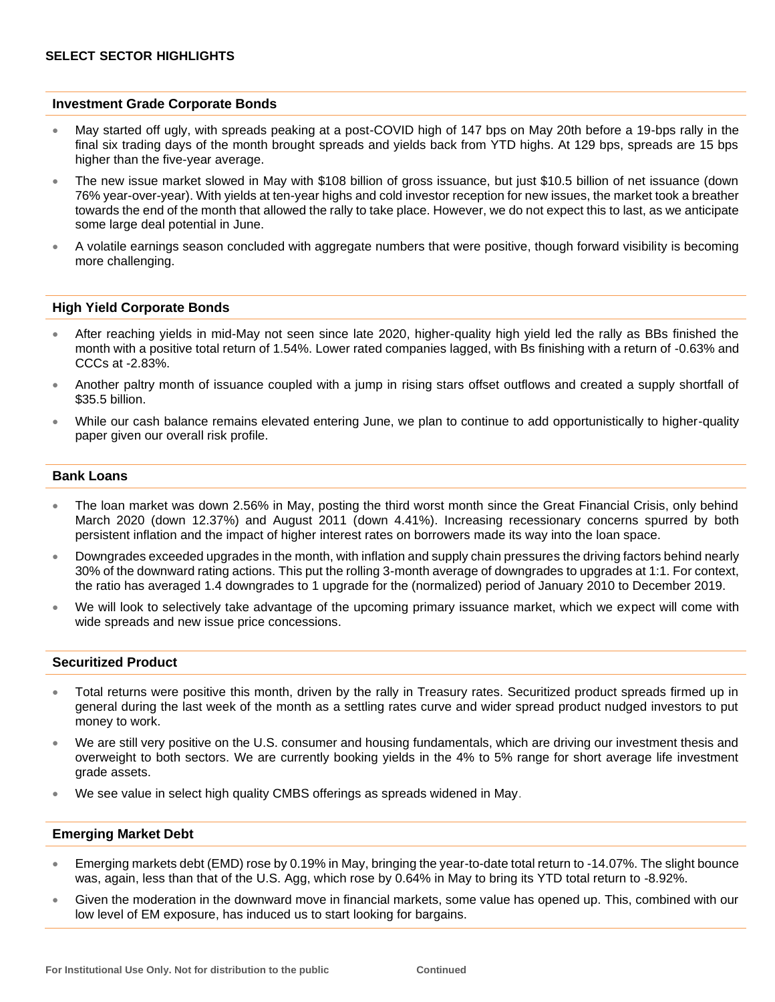#### **Investment Grade Corporate Bonds**

- May started off ugly, with spreads peaking at a post-COVID high of 147 bps on May 20th before a 19-bps rally in the final six trading days of the month brought spreads and yields back from YTD highs. At 129 bps, spreads are 15 bps higher than the five-year average.
- The new issue market slowed in May with \$108 billion of gross issuance, but just \$10.5 billion of net issuance (down 76% year-over-year). With yields at ten-year highs and cold investor reception for new issues, the market took a breather towards the end of the month that allowed the rally to take place. However, we do not expect this to last, as we anticipate some large deal potential in June.
- A volatile earnings season concluded with aggregate numbers that were positive, though forward visibility is becoming more challenging.

#### **High Yield Corporate Bonds**

- After reaching yields in mid-May not seen since late 2020, higher-quality high yield led the rally as BBs finished the month with a positive total return of 1.54%. Lower rated companies lagged, with Bs finishing with a return of -0.63% and CCCs at -2.83%.
- Another paltry month of issuance coupled with a jump in rising stars offset outflows and created a supply shortfall of \$35.5 billion.
- While our cash balance remains elevated entering June, we plan to continue to add opportunistically to higher-quality paper given our overall risk profile.

#### **Bank Loans**

- The loan market was down 2.56% in May, posting the third worst month since the Great Financial Crisis, only behind March 2020 (down 12.37%) and August 2011 (down 4.41%). Increasing recessionary concerns spurred by both persistent inflation and the impact of higher interest rates on borrowers made its way into the loan space.
- Downgrades exceeded upgrades in the month, with inflation and supply chain pressures the driving factors behind nearly 30% of the downward rating actions. This put the rolling 3-month average of downgrades to upgrades at 1:1. For context, the ratio has averaged 1.4 downgrades to 1 upgrade for the (normalized) period of January 2010 to December 2019.
- We will look to selectively take advantage of the upcoming primary issuance market, which we expect will come with wide spreads and new issue price concessions.

#### **Securitized Product**

- Total returns were positive this month, driven by the rally in Treasury rates. Securitized product spreads firmed up in general during the last week of the month as a settling rates curve and wider spread product nudged investors to put money to work.
- We are still very positive on the U.S. consumer and housing fundamentals, which are driving our investment thesis and overweight to both sectors. We are currently booking yields in the 4% to 5% range for short average life investment grade assets.
- We see value in select high quality CMBS offerings as spreads widened in May.

#### **Emerging Market Debt**

- Emerging markets debt (EMD) rose by 0.19% in May, bringing the year-to-date total return to -14.07%. The slight bounce was, again, less than that of the U.S. Agg, which rose by 0.64% in May to bring its YTD total return to -8.92%.
- Given the moderation in the downward move in financial markets, some value has opened up. This, combined with our low level of EM exposure, has induced us to start looking for bargains.